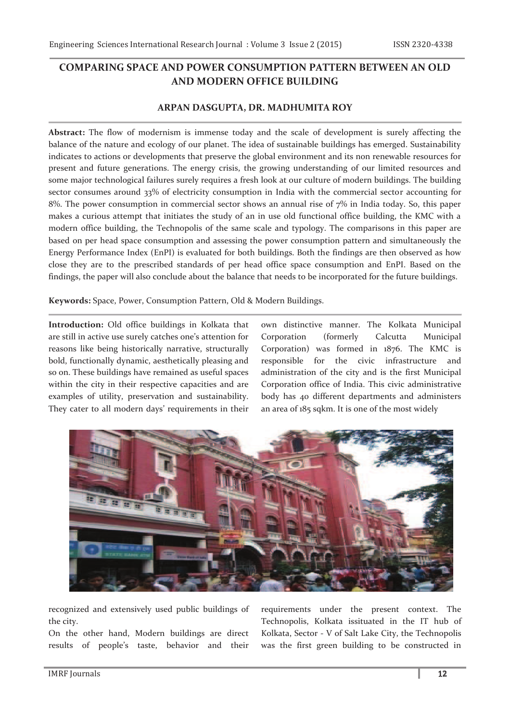# **COMPARING SPACE AND POWER CONSUMPTION PATTERN BETWEEN AN OLD AND MODERN OFFICE BUILDING**

## **ARPAN DASGUPTA, DR. MADHUMITA ROY**

**Abstract:** The flow of modernism is immense today and the scale of development is surely affecting the balance of the nature and ecology of our planet. The idea of sustainable buildings has emerged. Sustainability indicates to actions or developments that preserve the global environment and its non renewable resources for present and future generations. The energy crisis, the growing understanding of our limited resources and some major technological failures surely requires a fresh look at our culture of modern buildings. The building sector consumes around 33% of electricity consumption in India with the commercial sector accounting for 8%. The power consumption in commercial sector shows an annual rise of 7% in India today. So, this paper makes a curious attempt that initiates the study of an in use old functional office building, the KMC with a modern office building, the Technopolis of the same scale and typology. The comparisons in this paper are based on per head space consumption and assessing the power consumption pattern and simultaneously the Energy Performance Index (EnPI) is evaluated for both buildings. Both the findings are then observed as how close they are to the prescribed standards of per head office space consumption and EnPI. Based on the findings, the paper will also conclude about the balance that needs to be incorporated for the future buildings.

**Keywords:** Space, Power, Consumption Pattern, Old & Modern Buildings.

**Introduction:** Old office buildings in Kolkata that are still in active use surely catches one's attention for reasons like being historically narrative, structurally bold, functionally dynamic, aesthetically pleasing and so on. These buildings have remained as useful spaces within the city in their respective capacities and are examples of utility, preservation and sustainability. They cater to all modern days' requirements in their

own distinctive manner. The Kolkata Municipal Corporation (formerly Calcutta Municipal Corporation) was formed in 1876. The KMC is responsible for the civic infrastructure and administration of the city and is the first Municipal Corporation office of India. This civic administrative body has 40 different departments and administers an area of 185 sqkm. It is one of the most widely



recognized and extensively used public buildings of the city.

On the other hand, Modern buildings are direct results of people's taste, behavior and their requirements under the present context. The Technopolis, Kolkata issituated in the IT hub of Kolkata, Sector - V of Salt Lake City, the Technopolis was the first green building to be constructed in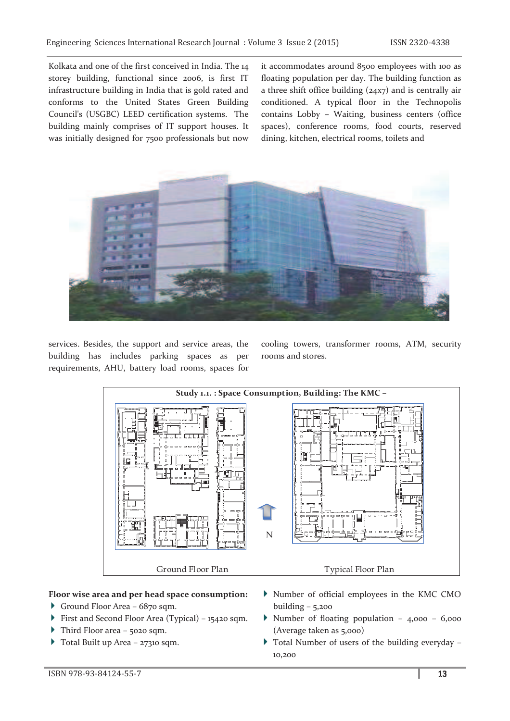Kolkata and one of the first conceived in India. The 14 storey building, functional since 2006, is first IT infrastructure building in India that is gold rated and conforms to the United States Green Building Council's (USGBC) LEED certification systems. The building mainly comprises of IT support houses. It was initially designed for 7500 professionals but now

it accommodates around 8500 employees with 100 as floating population per day. The building function as a three shift office building (24x7) and is centrally air conditioned. A typical floor in the Technopolis contains Lobby – Waiting, business centers (office spaces), conference rooms, food courts, reserved dining, kitchen, electrical rooms, toilets and



services. Besides, the support and service areas, the building has includes parking spaces as per requirements, AHU, battery load rooms, spaces for

cooling towers, transformer rooms, ATM, security rooms and stores.



#### **Floor wise area and per head space consumption:**

- Ground Floor Area 6870 sqm.
- First and Second Floor Area (Typical) 15420 sqm.
- Third Floor area 5020 sqm.
- Total Built up Area 27310 sqm.
- Number of official employees in the KMC CMO building  $-5,200$
- Number of floating population 4,000 6,000 (Average taken as 5,000)
- Total Number of users of the building everyday 10,200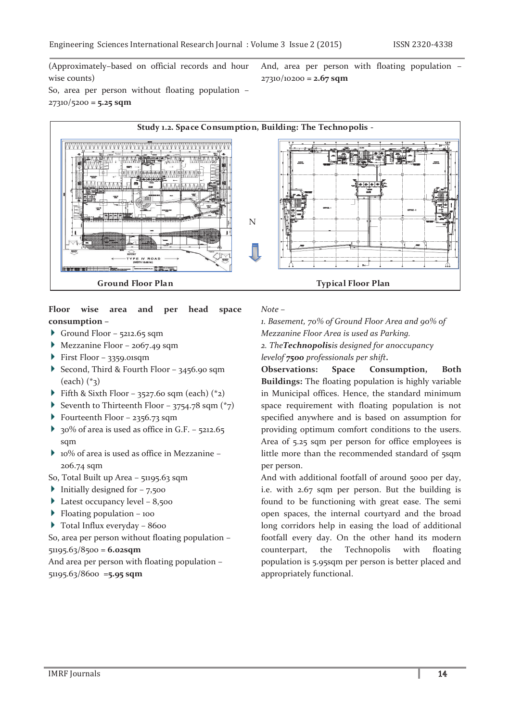(Approximately–based on official records and hour wise counts)

And, area per person with floating population – 27310/10200 **= 2.67 sqm**

So, area per person without floating population – 27310/5200 **= 5.25 sqm**



#### **Floor wise area and per head space consumption –**

- Ground Floor  $5212.65$  sqm
- Mezzanine Floor 2067.49 sqm
- $\triangleright$  First Floor 3359.01sqm
- Second, Third & Fourth Floor 3456.90 sqm  $(each)$   $(*_3)$
- Fifth & Sixth Floor 3527.60 sqm (each)  $(*_2)$
- Seventh to Thirteenth Floor 3754.78 sqm  $(*_7)$
- Fourteenth Floor 2356.73 sqm
- $\rightarrow$  30% of area is used as office in G.F. 5212.65 sqm
- 10% of area is used as office in Mezzanine 206.74 sqm
- So, Total Built up Area 51195.63 sqm
- Initially designed for  $-7,500$
- Latest occupancy level  $-8,500$
- $\blacktriangleright$  Floating population 100
- ▶ Total Influx everyday 8600

So, area per person without floating population –

51195.63/8500 = **6.02sqm**

And area per person with floating population – 51195.63/8600 =**5.95 sqm**

*Note –* 

*1. Basement, 70% of Ground Floor Area and 90% of* 

*Mezzanine Floor Area is used as Parking.* 

*2. TheTechnopolisis designed for anoccupancy* 

*levelof 7500 professionals per shift.* 

**Observations: Space Consumption, Both Buildings:** The floating population is highly variable in Municipal offices. Hence, the standard minimum space requirement with floating population is not specified anywhere and is based on assumption for providing optimum comfort conditions to the users. Area of 5.25 sqm per person for office employees is little more than the recommended standard of 5sqm per person.

And with additional footfall of around 5000 per day, i.e. with 2.67 sqm per person. But the building is found to be functioning with great ease. The semi open spaces, the internal courtyard and the broad long corridors help in easing the load of additional footfall every day. On the other hand its modern counterpart, the Technopolis with floating population is 5.95sqm per person is better placed and appropriately functional.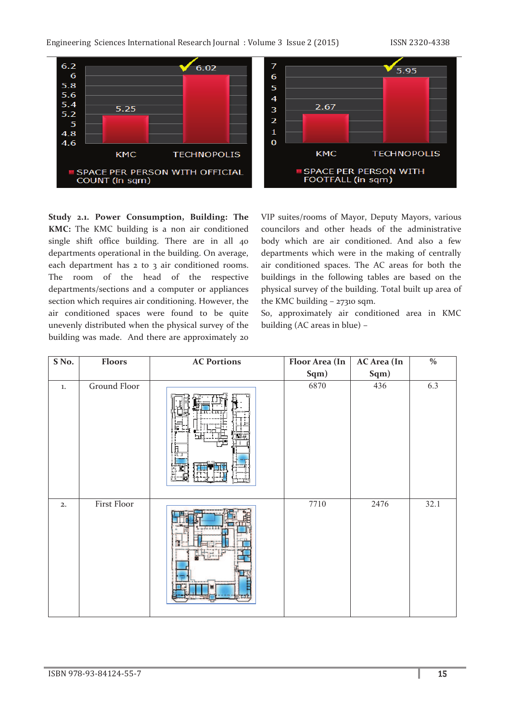

**Study 2.1. Power Consumption, Building: The KMC:** The KMC building is a non air conditioned single shift office building. There are in all 40 departments operational in the building. On average, each department has 2 to 3 air conditioned rooms. The room of the head of the respective departments/sections and a computer or appliances section which requires air conditioning. However, the air conditioned spaces were found to be quite unevenly distributed when the physical survey of the building was made. And there are approximately 20

VIP suites/rooms of Mayor, Deputy Mayors, various councilors and other heads of the administrative body which are air conditioned. And also a few departments which were in the making of centrally air conditioned spaces. The AC areas for both the buildings in the following tables are based on the physical survey of the building. Total built up area of the KMC building – 27310 sqm.

So, approximately air conditioned area in KMC building (AC areas in blue) –

| SNo.    | Floors              | <b>AC Portions</b> | Floor Area (In | <b>AC Area</b> (In | $\frac{0}{6}$ |
|---------|---------------------|--------------------|----------------|--------------------|---------------|
|         |                     |                    | Sqm)           | Sqm)               |               |
| $1. \,$ | <b>Ground Floor</b> | F                  | 6870           | 436                | 6.3           |
| 2.      | First Floor         |                    | 7710           | 2476               | 32.1          |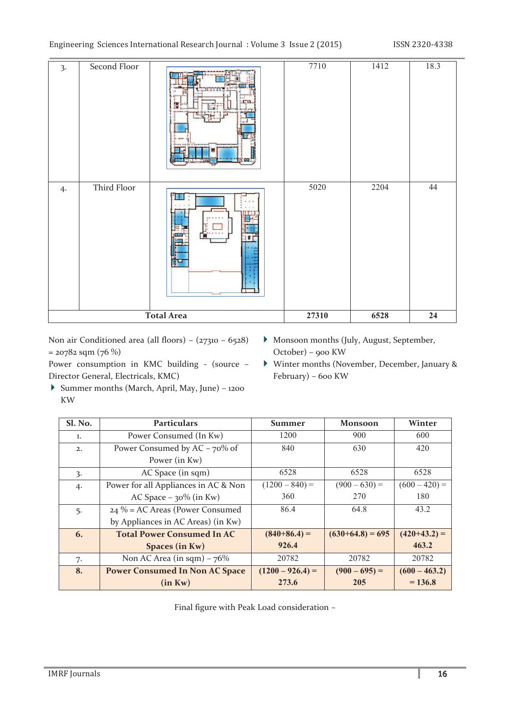| $\overline{3}$ .  | Second Floor |  | 7710  | 1412 | 18.3       |
|-------------------|--------------|--|-------|------|------------|
| 4.                | Third Floor  |  | 5020  | 2204 | 44         |
| <b>Total Area</b> |              |  | 27310 | 6528 | ${\bf 24}$ |

Non air Conditioned area (all floors) – (27310 – 6528)  $= 20782$  sqm  $(76%)$ 

Power consumption in KMC building - (source – Director General, Electricals, KMC)

- Monsoon months (July, August, September, October) – 900 KW
- Winter months (November, December, January & February) – 600 KW
- Summer months (March, April, May, June) 1200 KW

| Sl. No. | <b>Particulars</b>                    | Summer             | <b>Monsoon</b>     | Winter          |
|---------|---------------------------------------|--------------------|--------------------|-----------------|
| 1.      | Power Consumed (In Kw)                | 1200               | 900                | 600             |
| 2.      | Power Consumed by $AC - 70\%$ of      | 840                | 630                | 420             |
|         | Power (in Kw)                         |                    |                    |                 |
| 3.      | AC Space (in sqm)                     | 6528               | 6528               | 6528            |
| 4.      | Power for all Appliances in AC & Non  | $(1200 - 840) =$   | $(900 - 630) =$    | $(600 - 420) =$ |
|         | AC Space $-30\%$ (in Kw)              | 360                | 270                | 180             |
| 5.      | $24\%$ = AC Areas (Power Consumed     | 86.4               | 64.8               | 43.2            |
|         | by Appliances in AC Areas) (in Kw)    |                    |                    |                 |
| 6.      | <b>Total Power Consumed In AC</b>     | $(840+86.4) =$     | $(630+64.8) = 695$ | $(420+43.2) =$  |
|         | Spaces (in Kw)                        | 926.4              |                    | 463.2           |
| 7.      | Non AC Area (in sqm) $-76\%$          | 20782              | 20782              | 20782           |
| 8.      | <b>Power Consumed In Non AC Space</b> | $(1200 - 926.4) =$ | $(900 - 695) =$    | $(600 - 463.2)$ |
|         | (in Kw)                               | 273.6              | 205                | $= 136.8$       |

Final figure with Peak Load consideration –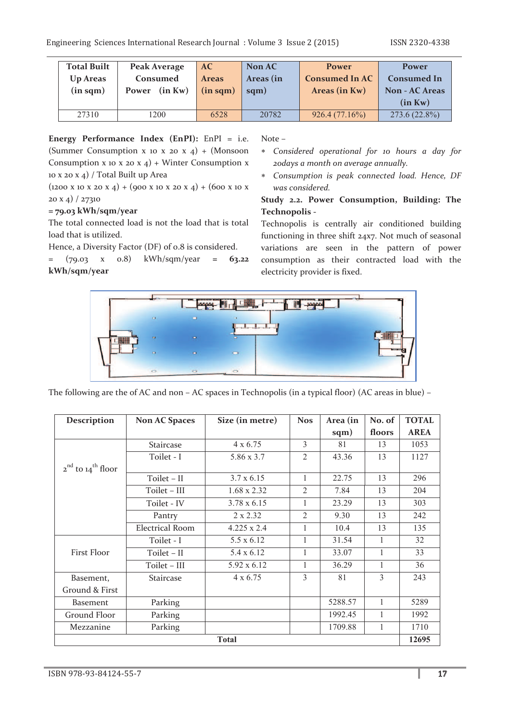| <b>Total Built</b><br>Up Areas<br>$(in\;sqm)$ | Peak Average<br>Consumed<br>Power (in Kw) | AC<br><b>Areas</b><br>$(in\;sqm)$ | Non AC<br>Areas (in<br>sqm) | <b>Power</b><br><b>Consumed In AC</b><br>Areas (in Kw) | Power<br><b>Consumed In</b><br><b>Non - AC Areas</b><br>(in Kw) |
|-----------------------------------------------|-------------------------------------------|-----------------------------------|-----------------------------|--------------------------------------------------------|-----------------------------------------------------------------|
| 27310                                         | 1200                                      | 6528                              | 20782                       | 926.4(77.16%)                                          | $273.6(22.8\%)$                                                 |

**Energy Performance Index (EnPI):** EnPI = i.e. (Summer Consumption x 10 x 20 x 4) + (Monsoon Consumption x 10 x 20 x 4) + Winter Consumption x 10 x 20 x 4) / Total Built up Area

 $(1200 \times 10 \times 20 \times 4) + (900 \times 10 \times 20 \times 4) + (600 \times 10 \times 10)$ 20 x 4) / 27310

### **= 79.03 kWh/sqm/year**

The total connected load is not the load that is total load that is utilized.

Hence, a Diversity Factor (DF) of 0.8 is considered.

= (79.03 x 0.8) kWh/sqm/year **= 63.22 kWh/sqm/year**

Note –

- \* *Considered operational for 10 hours a day for 20days a month on average annually.*
- \* *Consumption is peak connected load. Hence, DF was considered.*

### **Study 2.2. Power Consumption, Building: The Technopolis -**

Technopolis is centrally air conditioned building functioning in three shift 24x7. Not much of seasonal variations are seen in the pattern of power consumption as their contracted load with the electricity provider is fixed.



The following are the of AC and non – AC spaces in Technopolis (in a typical floor) (AC areas in blue) –

| <b>Description</b>          | <b>Non AC Spaces</b>   | Size (in metre)    | <b>Nos</b>     | Area (in | No. of | <b>TOTAL</b> |
|-----------------------------|------------------------|--------------------|----------------|----------|--------|--------------|
|                             |                        |                    |                | sqm)     | floors | <b>AREA</b>  |
|                             | Staircase              | $4 \times 6.75$    | 3              | 81       | 13     | 1053         |
|                             | Toilet - I             | 5.86 x 3.7         | $\mathfrak{2}$ | 43.36    | 13     | 1127         |
| $2^{nd}$ to $14^{th}$ floor |                        |                    |                |          |        |              |
|                             | Toilet - II            | $3.7 \times 6.15$  | 1              | 22.75    | 13     | 296          |
|                             | Toilet - III           | $1.68 \times 2.32$ | 2              | 7.84     | 13     | 204          |
|                             | Toilet - IV            | 3.78 x 6.15        | 1              | 23.29    | 13     | 303          |
|                             | Pantry                 | $2 \times 2.32$    | $\overline{2}$ | 9.30     | 13     | 242          |
|                             | <b>Electrical Room</b> | $4.225 \times 2.4$ | 1              | 10.4     | 13     | 135          |
|                             | Toilet - I             | 5.5 x 6.12         | 1              | 31.54    | 1      | 32           |
| First Floor                 | Toilet - II            | 5.4 x 6.12         | 1              | 33.07    | 1      | 33           |
|                             | Toilet – III           | 5.92 x 6.12        | 1              | 36.29    | 1      | 36           |
| Basement,                   | Staircase              | $4 \times 6.75$    | 3              | 81       | 3      | 243          |
| Ground & First              |                        |                    |                |          |        |              |
| <b>Basement</b>             | Parking                |                    |                | 5288.57  | 1      | 5289         |
| Ground Floor                | Parking                |                    |                | 1992.45  |        | 1992         |
| Mezzanine                   | Parking                |                    |                | 1709.88  | 1      | 1710         |
| <b>Total</b>                |                        |                    |                |          |        |              |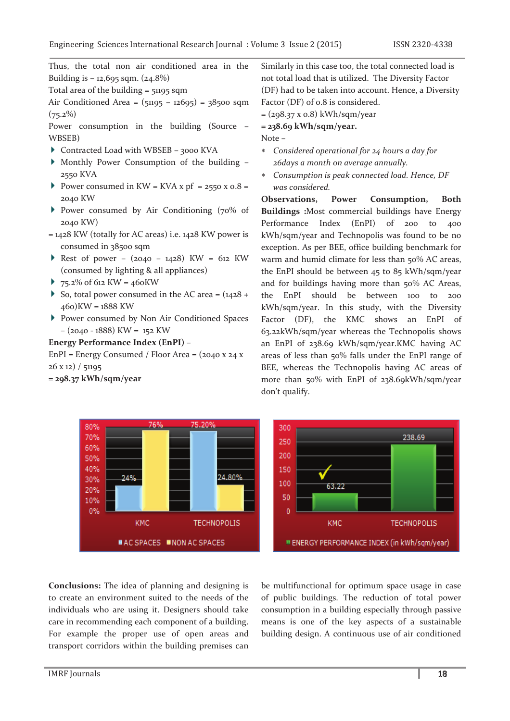Thus, the total non air conditioned area in the Building is  $-12,695$  sqm. ( $24.8\%$ )

Total area of the building  $=$  51195 sqm

Air Conditioned Area = (51195 – 12695) = 38500 sqm  $(75.2\%)$ 

Power consumption in the building (Source – WBSEB)

- ▶ Contracted Load with WBSEB 3000 KVA
- Monthly Power Consumption of the building 2550 KVA
- Power consumed in  $KW = KVA \times pf = 2550 \times 0.8 =$ 2040 KW
- Power consumed by Air Conditioning (70% of 2040 KW)
- $= 1428$  KW (totally for AC areas) i.e.  $1428$  KW power is consumed in 38500 sqm
- Rest of power  $(2040 1428)$  KW = 612 KW (consumed by lighting & all appliances)
- $\rightarrow$  75.2% of 612 KW = 460 KW
- So, total power consumed in the AC area =  $(1428 +$  $(460)$ KW =  $1888$  KW
- Power consumed by Non Air Conditioned Spaces – (2040 - 1888) KW = 152 KW

### **Energy Performance Index (EnPI) –**

EnPI = Energy Consumed / Floor Area =  $(2040 \times 24 \times$ 26 x 12) / 51195

**= 298.37 kWh/sqm/year** 

Similarly in this case too, the total connected load is not total load that is utilized. The Diversity Factor (DF) had to be taken into account. Hence, a Diversity Factor (DF) of 0.8 is considered.

 $= (298.37 \times 0.8)$  kWh/sqm/year

**= 238.69 kWh/sqm/year.** 

Note –

- \* *Considered operational for 24 hours a day for 26days a month on average annually.*
- \* *Consumption is peak connected load. Hence, DF was considered.*

**Observations, Power Consumption, Both Buildings :**Most commercial buildings have Energy Performance Index (EnPI) of 200 to 400 kWh/sqm/year and Technopolis was found to be no exception. As per BEE, office building benchmark for warm and humid climate for less than 50% AC areas, the EnPI should be between 45 to 85 kWh/sqm/year and for buildings having more than 50% AC Areas, the EnPI should be between 100 to 200 kWh/sqm/year. In this study, with the Diversity Factor (DF), the KMC shows an EnPI of 63.22kWh/sqm/year whereas the Technopolis shows an EnPI of 238.69 kWh/sqm/year.KMC having AC areas of less than 50% falls under the EnPI range of BEE, whereas the Technopolis having AC areas of more than 50% with EnPI of 238.69kWh/sqm/year don't qualify.



**Conclusions:** The idea of planning and designing is to create an environment suited to the needs of the individuals who are using it. Designers should take care in recommending each component of a building. For example the proper use of open areas and transport corridors within the building premises can be multifunctional for optimum space usage in case of public buildings. The reduction of total power consumption in a building especially through passive means is one of the key aspects of a sustainable building design. A continuous use of air conditioned